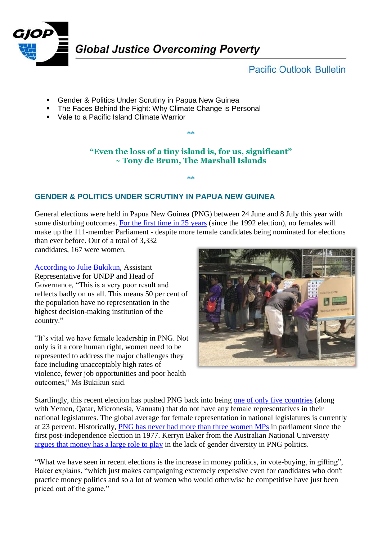

# **Pacific Outlook Bulletin**

- **-** Gender & Politics Under Scrutiny in Papua New Guinea
- **The Faces Behind the Fight: Why Climate Change is Personal**
- Vale to a Pacific Island Climate Warrior

### **"Even the loss of a tiny island is, for us, significant" ~ Tony de Brum, The Marshall Islands**

**\*\***

#### **\*\***

## **GENDER & POLITICS UNDER SCRUTINY IN PAPUA NEW GUINEA**

General elections were held in Papua New Guinea (PNG) between 24 June and 8 July this year with some disturbing outcomes. [For the first time in 25 years](http://www.pg.undp.org/content/papua_new_guinea/en/home/presscenter/pressreleases/2017/08/03/time-for-png-to-reflect-as-no-women-elected-to-parliament-.html) (since the 1992 election), no females will make up the 111-member Parliament - despite more female candidates being nominated for elections than ever before. Out of a total of 3,332

candidates, 167 were women.

[According to Julie Bukikun,](http://www.pg.undp.org/content/papua_new_guinea/en/home/presscenter/pressreleases/2017/08/03/time-for-png-to-reflect-as-no-women-elected-to-parliament-.html) Assistant Representative for UNDP and Head of Governance, "This is a very poor result and reflects badly on us all. This means 50 per cent of the population have no representation in the highest decision-making institution of the country."

"It's vital we have female leadership in PNG. Not only is it a core human right, women need to be represented to address the major challenges they face including unacceptably high rates of violence, fewer job opportunities and poor health outcomes," Ms Bukikun said.



Startlingly, this recent election has pushed PNG back into being [one of only five countries](http://thediplomat.com/2017/08/big-men-no-women-politics-in-papua-new-guinea/) (along with Yemen, Qatar, Micronesia, Vanuatu) that do not have any female representatives in their national legislatures. The global average for female representation in national legislatures is currently at 23 percent. Historically, PNG has never had [more than three women MPs](http://www.sbs.com.au/news/article/2017/07/26/no-women-mps-sit-next-png-parliament) in parliament since the first post-independence election in 1977. Kerryn Baker from the Australian National University [argues that money has a large role to play](http://www.pacwip.org/resources/news/2017/png-women-priced-out-of-parliament.html) in the lack of gender diversity in PNG politics.

"What we have seen in recent elections is the increase in money politics, in vote-buying, in gifting", Baker explains, "which just makes campaigning extremely expensive even for candidates who don't practice money politics and so a lot of women who would otherwise be competitive have just been priced out of the game."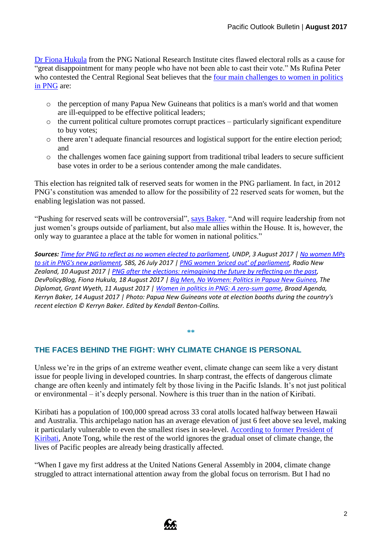[Dr Fiona Hukula](http://devpolicy.org/png-elections-reimagining-future-reflecting-past-20170818/) from the PNG National Research Institute cites flawed electoral rolls as a cause for "great disappointment for many people who have not been able to cast their vote." Ms Rufina Peter who contested the Central Regional Seat believes that the four main challenges to women in politics [in PNG](http://www.pg.undp.org/content/papua_new_guinea/en/home/presscenter/pressreleases/2017/08/03/time-for-png-to-reflect-as-no-women-elected-to-parliament-.html) are:

- o the perception of many Papua New Guineans that politics is a man's world and that women are ill-equipped to be effective political leaders;
- o the current political culture promotes corrupt practices particularly significant expenditure to buy votes;
- o there aren't adequate financial resources and logistical support for the entire election period; and
- o the challenges women face gaining support from traditional tribal leaders to secure sufficient base votes in order to be a serious contender among the male candidates.

This election has reignited talk of reserved seats for women in the PNG parliament. In fact, in 2012 PNG's constitution was amended to allow for the possibility of 22 reserved seats for women, but the enabling legislation was not passed.

"Pushing for reserved seats will be controversial", [says Baker.](http://www.broadagenda.com.au/home/women-in-politics-in-png/) "And will require leadership from not just women's groups outside of parliament, but also male allies within the House. It is, however, the only way to guarantee a place at the table for women in national politics."

*Sources: [Time for PNG to reflect as no women elected to parliament,](http://www.pg.undp.org/content/papua_new_guinea/en/home/presscenter/pressreleases/2017/08/03/time-for-png-to-reflect-as-no-women-elected-to-parliament-.html) UNDP, 3 August 2017 | [No women MPs](http://www.sbs.com.au/news/article/2017/07/26/no-women-mps-sit-next-png-parliament)  [to sit in PNG's new parliament,](http://www.sbs.com.au/news/article/2017/07/26/no-women-mps-sit-next-png-parliament) SBS, 26 July 2017 | [PNG women 'priced out' of parliament,](http://www.pacwip.org/resources/news/2017/png-women-priced-out-of-parliament.html) Radio New Zealand, 10 August 2017 [| PNG after the elections: reimagining the future by reflecting on the past,](http://devpolicy.org/png-elections-reimagining-future-reflecting-past-20170818/) DevPolicyBlog, Fiona Hukula, 18 August 2017 [| Big Men, No Women: Politics in Papua New Guinea,](http://thediplomat.com/2017/08/big-men-no-women-politics-in-papua-new-guinea/) The Diplomat, Grant Wyeth, 11 August 2017 | [Women in politics in PNG: A zero-sum game,](http://www.broadagenda.com.au/home/women-in-politics-in-png/) Broad Agenda, Kerryn Baker, 14 August 2017 | Photo: Papua New Guineans vote at election booths during the country's recent election © Kerryn Baker. Edited by Kendall Benton-Collins.*

#### **THE FACES BEHIND THE FIGHT: WHY CLIMATE CHANGE IS PERSONAL**

Unless we're in the grips of an extreme weather event, climate change can seem like a very distant issue for people living in developed countries. In sharp contrast, the effects of dangerous climate change are often keenly and intimately felt by those living in the Pacific Islands. It's not just political or environmental – it's deeply personal. Nowhere is this truer than in the nation of Kiribati.

**\*\***

Kiribati has a population of 100,000 spread across 33 coral atolls located halfway between Hawaii and Australia. This archipelago nation has an average elevation of just 6 feet above sea level, making it particularly vulnerable to even the smallest rises in sea-level. [According to former President of](https://thespinoff.co.nz/science/climate-change-week/19-08-2017/while-the-world-watches-climate-change-is-already-destroying-lives-in-the-pacific/)  [Kiribati,](https://thespinoff.co.nz/science/climate-change-week/19-08-2017/while-the-world-watches-climate-change-is-already-destroying-lives-in-the-pacific/) Anote Tong, while the rest of the world ignores the gradual onset of climate change, the lives of Pacific peoples are already being drastically affected.

"When I gave my first address at the United Nations General Assembly in 2004, climate change struggled to attract international attention away from the global focus on terrorism. But I had no

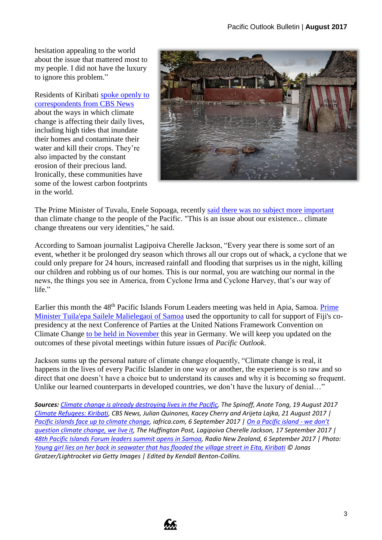hesitation appealing to the world about the issue that mattered most to my people. I did not have the luxury to ignore this problem."

Residents of Kiribati [spoke openly to](https://www.cbsnews.com/news/climate-refugees-kiribati-cbsn-on-assignment/)  [correspondents from CBS News](https://www.cbsnews.com/news/climate-refugees-kiribati-cbsn-on-assignment/) about the ways in which climate change is affecting their daily lives, including high tides that inundate their homes and contaminate their water and kill their crops. They're also impacted by the constant erosion of their precious land. Ironically, these communities have some of the lowest carbon footprints in the world.



The Prime Minister of Tuvalu, Enele Sopoaga, recently [said there was no subject more important](http://technology.iafrica.com/news/science/1054838.html) than climate change to the people of the Pacific. "This is an issue about our existence... climate change threatens our very identities," he said.

According to Samoan journalist Lagipoiva Cherelle Jackson, "Every year there is some sort of an event, whether it be prolonged dry season which throws all our crops out of whack, a cyclone that we could only prepare for 24 hours, increased rainfall and flooding that surprises us in the night, killing our children and robbing us of our homes. This is our normal, you are watching our normal in the news, the things you see in America, from Cyclone Irma and Cyclone Harvey, that's our way of life."

Earlier this month the 48<sup>th</sup> Pacific Islands Forum Leaders meeting was held in Apia, Samoa. Prime [Minister Tuila'epa Sailele Malielegaoi of Samoa](http://www.radionz.co.nz/international/pacific-news/338768/48th-pacific-islands-forum-leaders-summit-opens-in-samoa) used the opportunity to call for support of Fiji's copresidency at the next Conference of Parties at the United Nations Framework Convention on Climate Change [to be held in November](http://newsroom.unfccc.int/cop-23-bonn/) this year in Germany. We will keep you updated on the outcomes of these pivotal meetings within future issues of *Pacific Outlook*.

Jackson sums up the personal nature of climate change eloquently, "Climate change is real, it happens in the lives of every Pacific Islander in one way or another, the experience is so raw and so direct that one doesn't have a choice but to understand its causes and why it is becoming so frequent. Unlike our learned counterparts in developed countries, we don't have the luxury of denial…"

*Sources: Climate change [is already destroying lives in the Pacific,](https://thespinoff.co.nz/science/climate-change-week/19-08-2017/while-the-world-watches-climate-change-is-already-destroying-lives-in-the-pacific/) The Spinoff, Anote Tong, 19 August 2017 [Climate Refugees: Kiribati,](https://www.cbsnews.com/news/climate-refugees-kiribati-cbsn-on-assignment/) CBS News, Julian Quinones, Kacey Cherry and Arijeta Lajka, 21 August 2017 | [Pacific islands face up to climate change,](http://technology.iafrica.com/news/science/1054838.html) iafrica.com, 6 September 2017 [| On a Pacific island -](http://www.huffingtonpost.com/entry/on-a-pacific-island-we-dont-question-climate-change_us_59bede7ce4b02c642e4a17dc) we don't [question climate change, we live it,](http://www.huffingtonpost.com/entry/on-a-pacific-island-we-dont-question-climate-change_us_59bede7ce4b02c642e4a17dc) The Huffington Post, Lagipoiva Cherelle Jackson, 17 September 2017 | [48th Pacific Islands Forum leaders summit opens in Samoa,](http://www.radionz.co.nz/international/pacific-news/338768/48th-pacific-islands-forum-leaders-summit-opens-in-samoa) Radio New Zealand, 6 September 2017 | Photo: [Young girl lies on her back in seawater that has flooded the village street in Eita, Kiribati](https://thespinoff.co.nz/science/climate-change-week/19-08-2017/while-the-world-watches-climate-change-is-already-destroying-lives-in-the-pacific/) © Jonas Gratzer/Lightrocket via Getty Images | Edited by Kendall Benton-Collins.*